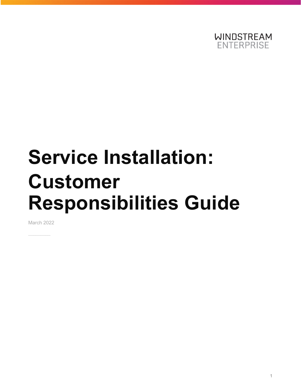

# **Service Installation: Customer Responsibilities Guide**

March 2022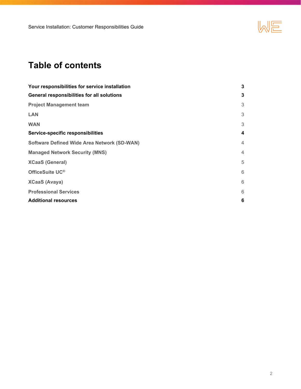

# **Table of contents**

| Your responsibilities for service installation     | 3              |
|----------------------------------------------------|----------------|
| General responsibilities for all solutions         | 3              |
| <b>Project Management team</b>                     | 3              |
| <b>LAN</b>                                         | 3              |
| <b>WAN</b>                                         | 3              |
| Service-specific responsibilities                  | 4              |
| <b>Software Defined Wide Area Network (SD-WAN)</b> | $\overline{4}$ |
| <b>Managed Network Security (MNS)</b>              | $\overline{4}$ |
| <b>XCaaS (General)</b>                             | 5              |
| OfficeSuite UC®                                    | 6              |
| <b>XCaaS (Avaya)</b>                               | 6              |
| <b>Professional Services</b>                       | 6              |
| <b>Additional resources</b>                        | 6              |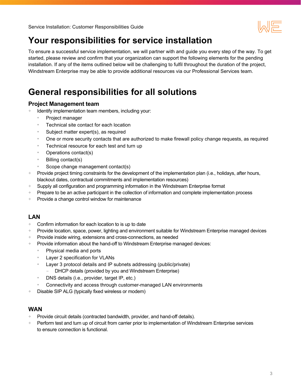

# <span id="page-2-0"></span>**Your responsibilities for service installation**

To ensure a successful service implementation, we will partner with and guide you every step of the way. To get started, please review and confirm that your organization can support the following elements for the pending installation. If any of the items outlined below will be challenging to fulfil throughout the duration of the project, Windstream Enterprise may be able to provide additional resources via our Professional Services team.

# **General responsibilities for all solutions**

#### **Project Management team**

- Identify implementation team members, including your:
	- Project manager
	- Technical site contact for each location
	- Subject matter expert(s), as required
	- One or more security contacts that are authorized to make firewall policy change requests, as required
	- Technical resource for each test and turn up
	- Operations contact(s)
	- Billing contact(s)
	- Scope change management contact(s)
- + Provide project timing constraints for the development of the implementation plan (i.e., holidays, after hours, blackout dates, contractual commitments and implementation resources)
- + Supply all configuration and programming information in the Windstream Enterprise format
- + Prepare to be an active participant in the collection of information and complete implementation process
- + Provide a change control window for maintenance

#### **LAN**

- + Confirm information for each location to is up to date
- + Provide location, space, power, lighting and environment suitable for Windstream Enterprise managed devices
- + Provide inside wiring, extensions and cross-connections, as needed
- + Provide information about the hand-off to Windstream Enterprise managed devices:
	- Physical media and ports
	- Layer 2 specification for VLANs
	- Layer 3 protocol details and IP subnets addressing (public/private)
		- DHCP details (provided by you and Windstream Enterprise)
	- DNS details (i.e., provider, target IP, etc.)
	- Connectivity and access through customer-managed LAN environments
- Disable SIP ALG (typically fixed wireless or modem)

#### **WAN**

- + Provide circuit details (contracted bandwidth, provider, and hand-off details).
- + Perform test and turn up of circuit from carrier prior to implementation of Windstream Enterprise services to ensure connection is functional.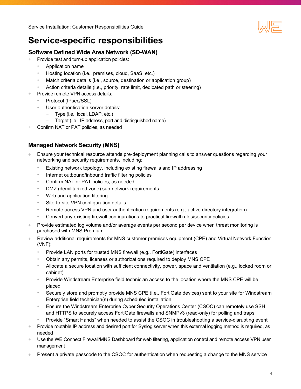

## <span id="page-3-0"></span>**Service-specific responsibilities**

### **Software Defined Wide Area Network (SD-WAN)**

- + Provide test and turn-up application policies:
	- Application name
	- Hosting location (i.e., premises, cloud, SaaS, etc.)
	- Match criteria details (i.e., source, destination or application group)
	- Action criteria details (i.e., priority, rate limit, dedicated path or steering)
- Provide remote VPN access details:
	- Protocol (IPsec/SSL)
	- User authentication server details:
		- Type (i.e., local, LDAP, etc.)
		- Target (i.e., IP address, port and distinguished name)
- Confirm NAT or PAT policies, as needed

#### **Managed Network Security (MNS)**

- Ensure your technical resource attends pre-deployment planning calls to answer questions regarding your networking and security requirements, including:
	- Existing network topology, including existing firewalls and IP addressing
	- Internet outbound/inbound traffic filtering policies
	- Confirm NAT or PAT policies, as needed
	- DMZ (demilitarized zone) sub-network requirements
	- Web and application filtering
	- Site-to-site VPN configuration details
	- Remote access VPN and user authentication requirements (e.g., active directory integration)
	- Convert any existing firewall configurations to practical firewall rules/security policies
- Provide estimated log volume and/or average events per second per device when threat monitoring is purchased with MNS Premium
- Review additional requirements for MNS customer premises equipment (CPE) and Virtual Network Function (VNF):
	- Provide LAN ports for trusted MNS firewall (e.g., FortiGate) interfaces
	- Obtain any permits, licenses or authorizations required to deploy MNS CPE
	- Allocate a secure location with sufficient connectivity, power, space and ventilation (e.g., locked room or cabinet)
	- Provide Windstream Enterprise field technician access to the location where the MNS CPE will be placed
	- Securely store and promptly provide MNS CPE (i.e., FortiGate devices) sent to your site for Windstream Enterprise field technician(s) during scheduled installation
	- Ensure the Windstream Enterprise Cyber Security Operations Center (CSOC) can remotely use SSH and HTTPS to securely access FortiGate firewalls and SNMPv3 (read-only) for polling and traps
	- Provide "Smart Hands" when needed to assist the CSOC in troubleshooting a service-disrupting event
- + Provide routable IP address and desired port for Syslog server when this external logging method is required, as needed
- + Use the WE Connect Firewall/MNS Dashboard for web filtering, application control and remote access VPN user management
- Present a private passcode to the CSOC for authentication when requesting a change to the MNS service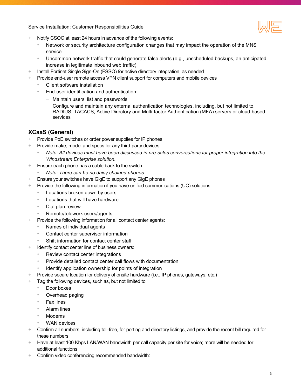<span id="page-4-0"></span>Service Installation: Customer Responsibilities Guide

- Notify CSOC at least 24 hours in advance of the following events:
	- Network or security architecture configuration changes that may impact the operation of the MNS service
	- Uncommon network traffic that could generate false alerts (e.g., unscheduled backups, an anticipated increase in legitimate inbound web traffic)
- + Install Fortinet Single Sign-On (FSSO) for active directory integration, as needed
- + Provide end-user remote access VPN client support for computers and mobile devices
	- Client software installation
	- End-user identification and authentication:
		- Maintain users' list and passwords
		- Configure and maintain any external authentication technologies, including, but not limited to, RADIUS, TACACS, Active Directory and Multi-factor Authentication (MFA) servers or cloud-based services

## **XCaaS (General)**

- Provide PoE switches or order power supplies for IP phones
- + Provide make, model and specs for any third-party devices
	- *Note: All devices must have been discussed in pre-sales conversations for proper integration into the Windstream Enterprise solution.*
- + Ensure each phone has a cable back to the switch
	- *Note: There can be no daisy chained phones.*
- + Ensure your switches have GigE to support any GigE phones
- + Provide the following information if you have unified communications (UC) solutions:
	- Locations broken down by users
	- Locations that will have hardware
	- Dial plan review
	- Remote/telework users/agents
- Provide the following information for all contact center agents:
	- Names of individual agents
	- Contact center supervisor information
	- Shift information for contact center staff
- + Identify contact center line of business owners:
	- Review contact center integrations
	- Provide detailed contact center call flows with documentation
	- Identify application ownership for points of integration
- + Provide secure location for delivery of onsite hardware (i.e., IP phones, gateways, etc.)
- + Tag the following devices, such as, but not limited to:
	- Door boxes
	- Overhead paging
	- Fax lines
	- Alarm lines
	- **Modems**
	- WAN devices
- + Confirm all numbers, including toll-free, for porting and directory listings, and provide the recent bill required for these numbers
- + Have at least 100 Kbps LAN/WAN bandwidth per call capacity per site for voice; more will be needed for additional functions
- + Confirm video conferencing recommended bandwidth: